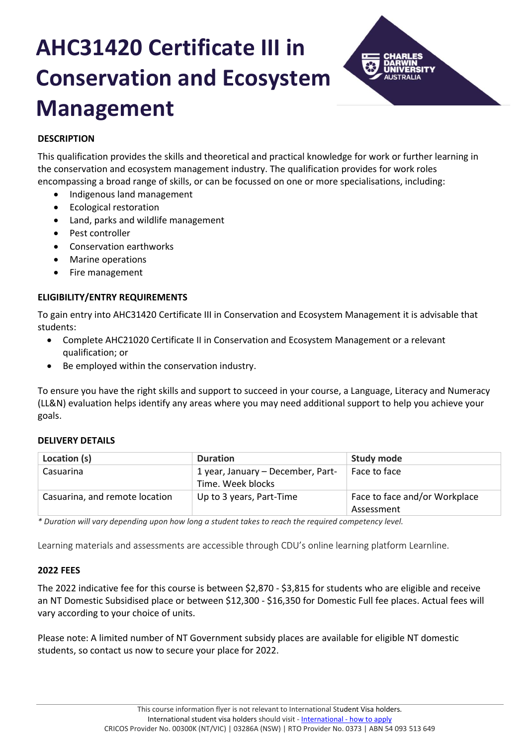# **AHC31420 Certificate III in Conservation and Ecosystem Management**



# **DESCRIPTION**

This qualification provides the skills and theoretical and practical knowledge for work or further learning in the conservation and ecosystem management industry. The qualification provides for work roles encompassing a broad range of skills, or can be focussed on one or more specialisations, including:

- Indigenous land management
- Ecological restoration
- Land, parks and wildlife management
- Pest controller
- Conservation earthworks
- Marine operations
- Fire management

# **ELIGIBILITY/ENTRY REQUIREMENTS**

To gain entry into AHC31420 Certificate III in Conservation and Ecosystem Management it is advisable that students:

- Complete AHC21020 Certificate II in Conservation and Ecosystem Management or a relevant qualification; or
- Be employed within the conservation industry.

To ensure you have the right skills and support to succeed in your course, a Language, Literacy and Numeracy (LL&N) evaluation helps identify any areas where you may need additional support to help you achieve your goals.

#### **DELIVERY DETAILS**

| Location (s)                   | <b>Duration</b>                                        | <b>Study mode</b>                           |
|--------------------------------|--------------------------------------------------------|---------------------------------------------|
| Casuarina                      | 1 year, January – December, Part-<br>Time. Week blocks | Face to face                                |
| Casuarina, and remote location | Up to 3 years, Part-Time                               | Face to face and/or Workplace<br>Assessment |

*\* Duration will vary depending upon how long a student takes to reach the required competency level.*

Learning materials and assessments are accessible through CDU's online learning platform Learnline.

#### **2022 FEES**

The 2022 indicative fee for this course is between \$2,870 - \$3,815 for students who are eligible and receive an NT Domestic Subsidised place or between \$12,300 - \$16,350 for Domestic Full fee places. Actual fees will vary according to your choice of units.

Please note: A limited number of NT Government subsidy places are available for eligible NT domestic students, so contact us now to secure your place for 2022.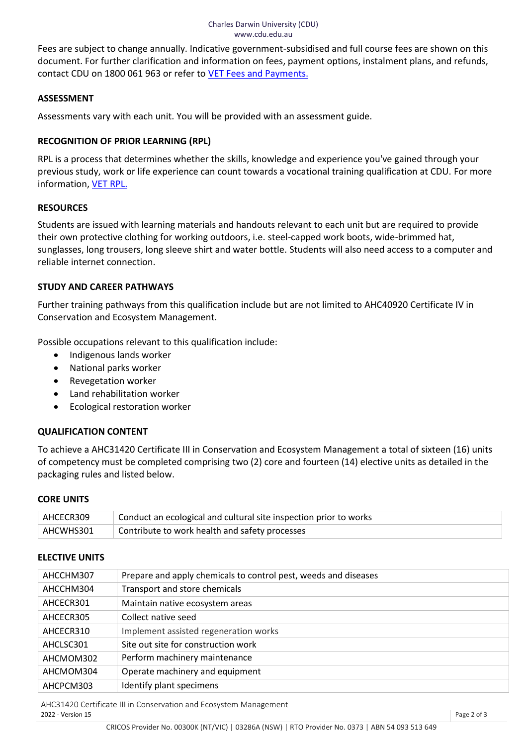Fees are subject to change annually. Indicative government-subsidised and full course fees are shown on this document. For further clarification and information on fees, payment options, instalment plans, and refunds, contact CDU on 1800 061 963 or refer to [VET Fees and Payments.](https://www.cdu.edu.au/current-students/student-admin/fees-payments)

#### **ASSESSMENT**

Assessments vary with each unit. You will be provided with an assessment guide.

# **RECOGNITION OF PRIOR LEARNING (RPL)**

RPL is a process that determines whether the skills, knowledge and experience you've gained through your previous study, work or life experience can count towards a vocational training qualification at CDU. For more information[, VET RPL.](https://www.cdu.edu.au/study/vocational-education-training/rpl)

# **RESOURCES**

Students are issued with learning materials and handouts relevant to each unit but are required to provide their own protective clothing for working outdoors, i.e. steel-capped work boots, wide-brimmed hat, sunglasses, long trousers, long sleeve shirt and water bottle. Students will also need access to a computer and reliable internet connection.

# **STUDY AND CAREER PATHWAYS**

Further training pathways from this qualification include but are not limited to AHC40920 Certificate IV in Conservation and Ecosystem Management.

Possible occupations relevant to this qualification include:

- Indigenous lands worker
- National parks worker
- Revegetation worker
- Land rehabilitation worker
- Ecological restoration worker

# **QUALIFICATION CONTENT**

To achieve a AHC31420 Certificate III in Conservation and Ecosystem Management a total of sixteen (16) units of competency must be completed comprising two (2) core and fourteen (14) elective units as detailed in the packaging rules and listed below.

#### **CORE UNITS**

| AHCECR309 | Conduct an ecological and cultural site inspection prior to works |
|-----------|-------------------------------------------------------------------|
| AHCWHS301 | Contribute to work health and safety processes                    |

#### **ELECTIVE UNITS**

| AHCCHM307 | Prepare and apply chemicals to control pest, weeds and diseases |
|-----------|-----------------------------------------------------------------|
| AHCCHM304 | Transport and store chemicals                                   |
| AHCECR301 | Maintain native ecosystem areas                                 |
| AHCECR305 | Collect native seed                                             |
| AHCECR310 | Implement assisted regeneration works                           |
| AHCLSC301 | Site out site for construction work                             |
| AHCMOM302 | Perform machinery maintenance                                   |
| AHCMOM304 | Operate machinery and equipment                                 |
| AHCPCM303 | Identify plant specimens                                        |
|           |                                                                 |

AHC31420 Certificate III in Conservation and Ecosystem Management<br>2022 - Version 15 2022 - Version 15 Page 2 of 3